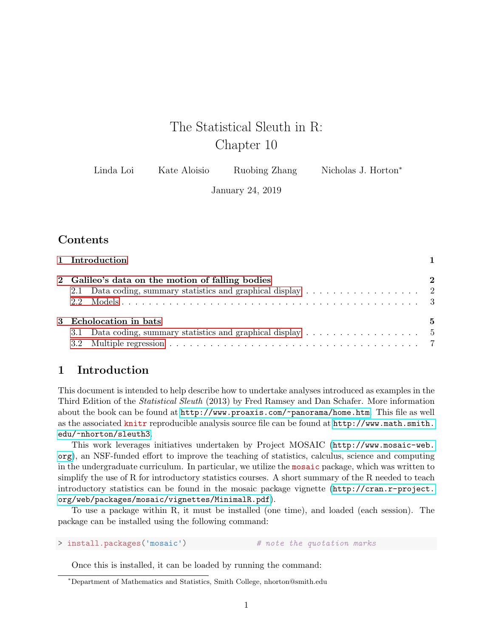# The Statistical Sleuth in R: Chapter 10

| Linda Loi | Kate Aloisio | Ruobing Zhang | Nicholas J. Horton <sup>*</sup> |
|-----------|--------------|---------------|---------------------------------|
|           |              |               |                                 |

January 24, 2019

# Contents

|                        | 1 Introduction                                   |          |
|------------------------|--------------------------------------------------|----------|
|                        | 2 Galileo's data on the motion of falling bodies | $\bf{2}$ |
|                        |                                                  |          |
|                        |                                                  |          |
| 3 Echolocation in bats |                                                  | 5        |
|                        |                                                  |          |
|                        |                                                  |          |

# <span id="page-0-0"></span>1 Introduction

This document is intended to help describe how to undertake analyses introduced as examples in the Third Edition of the Statistical Sleuth (2013) by Fred Ramsey and Dan Schafer. More information about the book can be found at <http://www.proaxis.com/~panorama/home.htm>. This file as well as the associated knitr reproducible analysis source file can be found at [http://www.math.smith.](http://www.math.smith.edu/~nhorton/sleuth3) [edu/~nhorton/sleuth3](http://www.math.smith.edu/~nhorton/sleuth3).

This work leverages initiatives undertaken by Project MOSAIC ([http://www.mosaic-web.](http://www.mosaic-web.org) [org](http://www.mosaic-web.org)), an NSF-funded effort to improve the teaching of statistics, calculus, science and computing in the undergraduate curriculum. In particular, we utilize the mosaic package, which was written to simplify the use of R for introductory statistics courses. A short summary of the R needed to teach introductory statistics can be found in the mosaic package vignette ([http://cran.r-project.](http://cran.r-project.org/web/packages/mosaic/vignettes/MinimalR.pdf) [org/web/packages/mosaic/vignettes/MinimalR.pdf](http://cran.r-project.org/web/packages/mosaic/vignettes/MinimalR.pdf)).

To use a package within R, it must be installed (one time), and loaded (each session). The package can be installed using the following command:

> install.packages('mosaic') # note the quotation marks

Once this is installed, it can be loaded by running the command:

<sup>∗</sup>Department of Mathematics and Statistics, Smith College, nhorton@smith.edu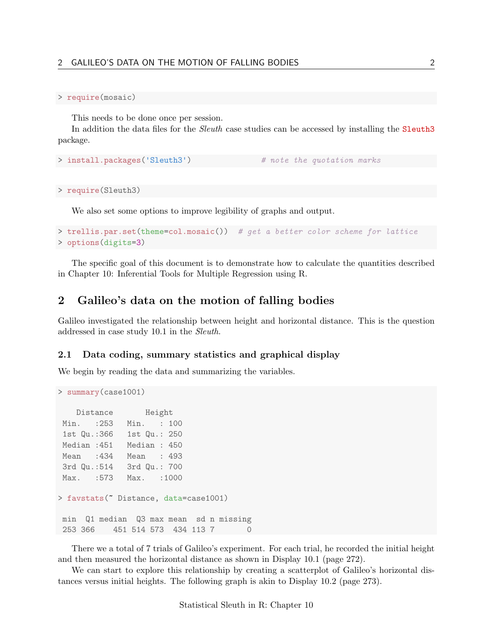#### > require(mosaic)

This needs to be done once per session.

In addition the data files for the *Sleuth* case studies can be accessed by installing the **Sleuth3** package.

```
> install.packages('Sleuth3') # note the quotation marks
```
> require(Sleuth3)

We also set some options to improve legibility of graphs and output.

```
> trellis.par.set(theme=col.mosaic()) # get a better color scheme for lattice
> options(digits=3)
```
The specific goal of this document is to demonstrate how to calculate the quantities described in Chapter 10: Inferential Tools for Multiple Regression using R.

### <span id="page-1-0"></span>2 Galileo's data on the motion of falling bodies

Galileo investigated the relationship between height and horizontal distance. This is the question addressed in case study 10.1 in the Sleuth.

### <span id="page-1-1"></span>2.1 Data coding, summary statistics and graphical display

We begin by reading the data and summarizing the variables.

```
> summary(case1001)
```

```
Distance Height
Min. :253 Min. : 100
1st Qu.:366 1st Qu.: 250
Median :451 Median : 450
Mean :434 Mean : 493
3rd Qu.:514 3rd Qu.: 700
Max. :573 Max. :1000
> favstats(~ Distance, data=case1001)
min Q1 median Q3 max mean sd n missing
253 366 451 514 573 434 113 7 0
```
There we a total of 7 trials of Galileo's experiment. For each trial, he recorded the initial height and then measured the horizontal distance as shown in Display 10.1 (page 272).

We can start to explore this relationship by creating a scatterplot of Galileo's horizontal distances versus initial heights. The following graph is akin to Display 10.2 (page 273).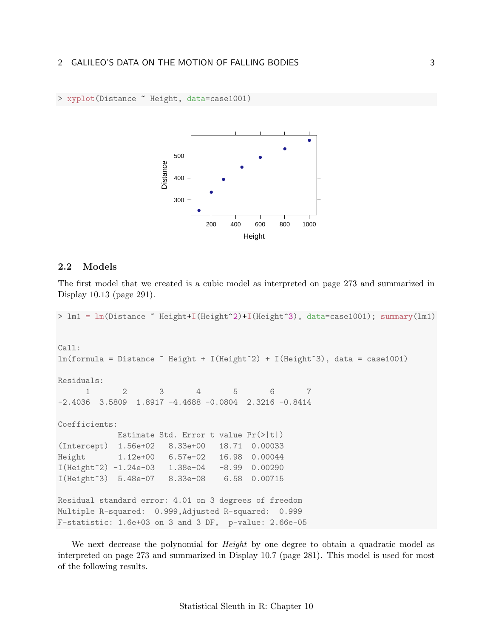> xyplot(Distance ~ Height, data=case1001)



### <span id="page-2-0"></span>2.2 Models

The first model that we created is a cubic model as interpreted on page 273 and summarized in Display 10.13 (page 291).

> lm1 = lm(Distance " Height+I(Height<sup>2</sup>)+I(Height<sup>2</sup>), data=case1001); summary(lm1) Call:  $lm(formula = Distance \tilde{\text{Height}} + I(Height \hat{\text{2}}) + I(Height \hat{\text{3}}), data = case1001)$ Residuals: 1 2 3 4 5 6 7 -2.4036 3.5809 1.8917 -4.4688 -0.0804 2.3216 -0.8414 Coefficients: Estimate Std. Error t value Pr(>|t|) (Intercept) 1.56e+02 8.33e+00 18.71 0.00033 Height 1.12e+00 6.57e-02 16.98 0.00044 I(Height^2) -1.24e-03 1.38e-04 -8.99 0.00290 I(Height^3) 5.48e-07 8.33e-08 6.58 0.00715 Residual standard error: 4.01 on 3 degrees of freedom Multiple R-squared: 0.999,Adjusted R-squared: 0.999 F-statistic: 1.6e+03 on 3 and 3 DF, p-value: 2.66e-05

We next decrease the polynomial for *Height* by one degree to obtain a quadratic model as interpreted on page 273 and summarized in Display 10.7 (page 281). This model is used for most of the following results.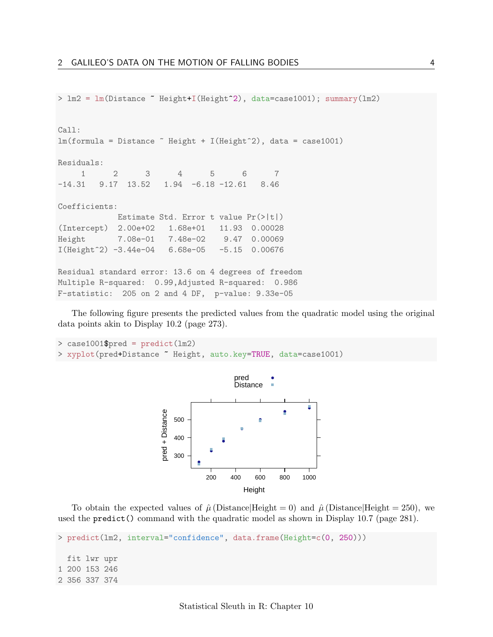```
> lm2 = lm(Distance "Height+I(Height^2), data=case1001); summary(lm2)Call:
lm(formula = Distance "Height + I(Height^2), data = case1001)Residuals:
    1 2 3 4 5 6 7
-14.31 9.17 13.52 1.94 -6.18 -12.61 8.46
Coefficients:
           Estimate Std. Error t value Pr(>|t|)
(Intercept) 2.00e+02 1.68e+01 11.93 0.00028
Height 7.08e-01 7.48e-02 9.47 0.00069
I(Height^2) -3.44e-04 6.68e-05 -5.15 0.00676
Residual standard error: 13.6 on 4 degrees of freedom
Multiple R-squared: 0.99,Adjusted R-squared: 0.986
F-statistic: 205 on 2 and 4 DF, p-value: 9.33e-05
```
The following figure presents the predicted values from the quadratic model using the original data points akin to Display 10.2 (page 273).

```
> case1001$pred = predict(lm2)
> xyplot(pred+Distance " Height, auto.key=TRUE, data=case1001)
```


To obtain the expected values of  $\hat{\mu}$  (Distance|Height = 0) and  $\hat{\mu}$  (Distance|Height = 250), we used the predict() command with the quadratic model as shown in Display 10.7 (page 281).

```
> predict(lm2, interval="confidence", data.frame(Height=c(0, 250)))
 fit lwr upr
1 200 153 246
2 356 337 374
```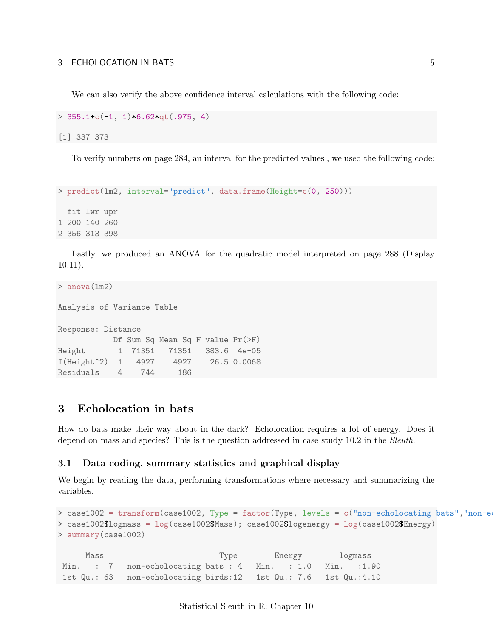We can also verify the above confidence interval calculations with the following code:

```
> 355.1+c(-1, 1)*6.62*qt(.975, 4)
```
[1] 337 373

To verify numbers on page 284, an interval for the predicted values , we used the following code:

```
> predict(lm2, interval="predict", data.frame(Height=c(0, 250)))
```
fit lwr upr 1 200 140 260 2 356 313 398

Lastly, we produced an ANOVA for the quadratic model interpreted on page 288 (Display 10.11).

```
> anova(lm2)
Analysis of Variance Table
Response: Distance
          Df Sum Sq Mean Sq F value Pr(>F)
Height 1 71351 71351 383.6 4e-05
I(Height^2) 1 4927 4927 26.5 0.0068
Residuals 4 744 186
```
## <span id="page-4-0"></span>3 Echolocation in bats

How do bats make their way about in the dark? Echolocation requires a lot of energy. Does it depend on mass and species? This is the question addressed in case study 10.2 in the *Sleuth*.

### <span id="page-4-1"></span>3.1 Data coding, summary statistics and graphical display

We begin by reading the data, performing transformations where necessary and summarizing the variables.

```
> case1002 = transform(case1002, Type = factor(Type, levels = c("non-echolocating bats", "non-e)> case1002$logmass = log(case1002$Mass); case1002$logenergy = log(case1002$Energy)
> summary(case1002)
```
Mass Type Energy logmass Min. : 7 non-echolocating bats : 4 Min. : 1.0 Min. : 1.90 1st Qu.: 63 non-echolocating birds:12 1st Qu.: 7.6 1st Qu.:4.10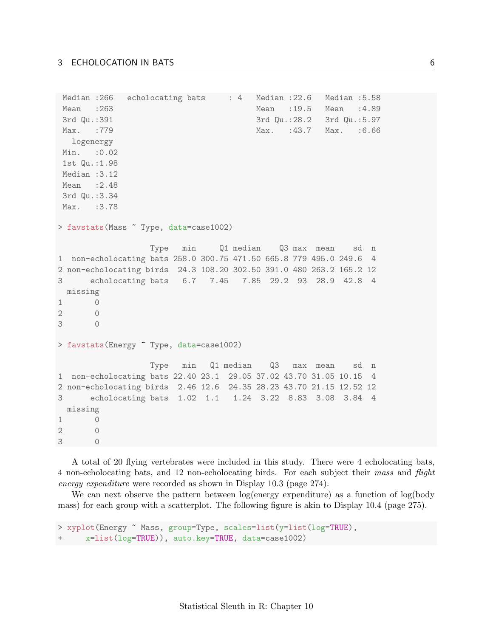Median :266 echolocating bats : 4 Median :22.6 Median :5.58 Mean :263 Mean :19.5 Mean :4.89 3rd Qu.:391 3rd Qu.:28.2 3rd Qu.:5.97 Max. :779 Max. :43.7 Max. :6.66 logenergy Min. : 0.02 1st Qu.:1.98 Median : 3.12 Mean : 2.48 3rd Qu.:3.34 Max. : 3.78 > favstats(Mass ~ Type, data=case1002) Type min Q1 median Q3 max mean sd n 1 non-echolocating bats 258.0 300.75 471.50 665.8 779 495.0 249.6 4 2 non-echolocating birds 24.3 108.20 302.50 391.0 480 263.2 165.2 12 3 echolocating bats 6.7 7.45 7.85 29.2 93 28.9 42.8 4 missing 1 0 2 0 3 0 > favstats(Energy ~ Type, data=case1002) Type min Q1 median Q3 max mean sd n 1 non-echolocating bats 22.40 23.1 29.05 37.02 43.70 31.05 10.15 4 2 non-echolocating birds 2.46 12.6 24.35 28.23 43.70 21.15 12.52 12 3 echolocating bats 1.02 1.1 1.24 3.22 8.83 3.08 3.84 4 missing 1 0 2 0 3 0

A total of 20 flying vertebrates were included in this study. There were 4 echolocating bats, 4 non-echolocating bats, and 12 non-echolocating birds. For each subject their mass and flight energy expenditure were recorded as shown in Display 10.3 (page 274).

We can next observe the pattern between log(energy expenditure) as a function of log(body mass) for each group with a scatterplot. The following figure is akin to Display 10.4 (page 275).

```
> xyplot(Energy ~ Mass, group=Type, scales=list(y=list(log=TRUE),
     x=list(log=TRUE)), auto.key=TRUE, data=case1002)
```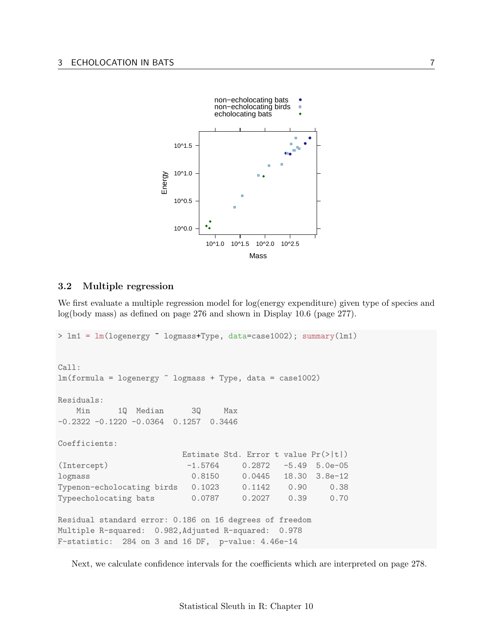

### <span id="page-6-0"></span>3.2 Multiple regression

We first evaluate a multiple regression model for log(energy expenditure) given type of species and log(body mass) as defined on page 276 and shown in Display 10.6 (page 277).

```
> lm1 = lm(logenergy ~ logmass+Type, data=case1002); summary(lm1)
Call:
lm(formula = logenergy \sim logmass + Type, data = case1002)
Residuals:
   Min 1Q Median 3Q Max
-0.2322 -0.1220 -0.0364 0.1257 0.3446
Coefficients:
                       Estimate Std. Error t value Pr(>|t|)
(Intercept) -1.5764 0.2872 -5.49 5.0e-05
logmass 0.8150 0.0445 18.30 3.8e-12
Typenon-echolocating birds 0.1023 0.1142 0.90 0.38
Typeecholocating bats 0.0787 0.2027 0.39 0.70
Residual standard error: 0.186 on 16 degrees of freedom
Multiple R-squared: 0.982,Adjusted R-squared: 0.978
F-statistic: 284 on 3 and 16 DF, p-value: 4.46e-14
```
Next, we calculate confidence intervals for the coefficients which are interpreted on page 278.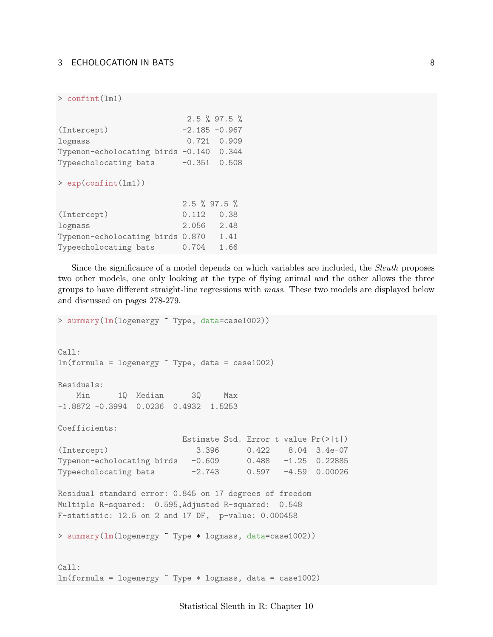#### > confint(lm1)

|                                         |                  | Z.V /0 JI.V /0 |
|-----------------------------------------|------------------|----------------|
| (Intercept)                             | $-2.185 - 0.967$ |                |
| logmass                                 |                  | $0.721$ 0.909  |
| Typenon-echolocating birds -0.140 0.344 |                  |                |
| Typeecholocating bats                   | $-0.351$ $0.508$ |                |
|                                         |                  |                |

#### > exp(confint(lm1))

|                                  |       | $2.5 \%$ 97.5 % |
|----------------------------------|-------|-----------------|
| (Intercept)                      | 0.112 | 0.38            |
| logmass                          | 2.056 | 2.48            |
| Typenon-echolocating birds 0.870 |       | 1.41            |
| Typeecholocating bats            | 0.704 | 1.66            |
|                                  |       |                 |

Since the significance of a model depends on which variables are included, the Sleuth proposes two other models, one only looking at the type of flying animal and the other allows the three groups to have different straight-line regressions with mass. These two models are displayed below and discussed on pages 278-279.

2.5 % 97.5 %

> summary(lm(logenergy ~ Type, data=case1002)) Call:  $lm(formula = logenergy "Type, data = case1002)$ Residuals: Min 1Q Median 3Q Max -1.8872 -0.3994 0.0236 0.4932 1.5253 Coefficients: Estimate Std. Error t value Pr(>|t|) (Intercept) 3.396 0.422 8.04 3.4e-07 Typenon-echolocating birds -0.609 0.488 -1.25 0.22885 Typeecholocating bats -2.743 0.597 -4.59 0.00026 Residual standard error: 0.845 on 17 degrees of freedom Multiple R-squared: 0.595,Adjusted R-squared: 0.548 F-statistic: 12.5 on 2 and 17 DF, p-value: 0.000458 > summary(lm(logenergy ~ Type \* logmass, data=case1002)) Call:  $lm(formula = logenergy$   $\tilde{m}$  Type  $*$  logmass, data = case1002)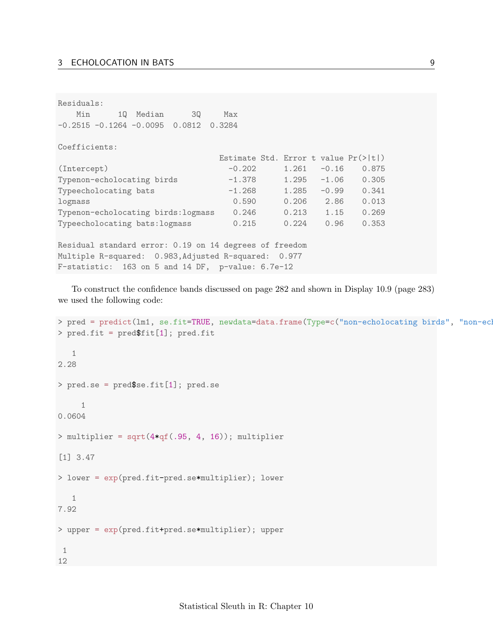Residuals: Min 1Q Median 3Q Max -0.2515 -0.1264 -0.0095 0.0812 0.3284 Coefficients: Estimate Std. Error t value Pr(>|t|) (Intercept) -0.202 1.261 -0.16 0.875 Typenon-echolocating birds -1.378 1.295 -1.06 0.305 Typeecholocating bats  $-1.268$   $1.285$   $-0.99$   $0.341$ logmass 0.590 0.206 2.86 0.013 Typenon-echolocating birds:logmass 0.246 0.213 1.15 0.269 Typeecholocating bats:logmass 0.215 0.224 0.96 0.353 Residual standard error: 0.19 on 14 degrees of freedom Multiple R-squared: 0.983,Adjusted R-squared: 0.977 F-statistic: 163 on 5 and 14 DF, p-value: 6.7e-12

To construct the confidence bands discussed on page 282 and shown in Display 10.9 (page 283) we used the following code:

```
> pred = predict(lm1, se.fit=TRUE, newdata=data.frame(Type=c("non-echolocating birds", "non-echology")
> pred.fit = pred$fit[1]; pred.fit
   1
2.28
> pred.se = pred$se.fit[1]; pred.se
     1
0.0604
> multiplier = sqrt(4*qf(.95, 4, 16)); multiplier
[1] 3.47
> lower = exp(pred.fit-pred.se*multiplier); lower
   1
7.92
> upper = exp(pred.fit+pred.se*multiplier); upper
1
12
```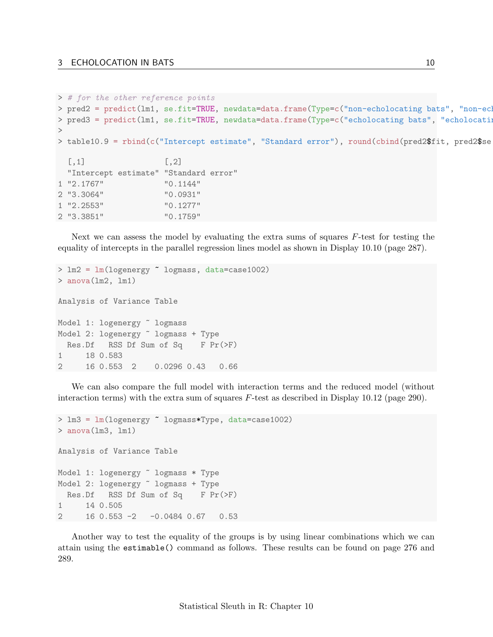```
> # for the other reference points
> pred2 = predict(lm1, se.fit=TRUE, newdata=data.frame(Type=c("non-echolocating bats", "non-echology")
> pred3 = predict(lm1, se.fit=TRUE, newdata=data.frame(Type=c("echolocating bats", "echolocating
>
> table10.9 = rbind(c("Intercept estimate", "Standard error"), round(cbind(pred2$fit, pred2$se.
  \left[ ,1\right] \left[ ,2\right]"Intercept estimate" "Standard error"
1 "2.1767" "0.1144"
2 "3.3064" "0.0931"
1 "2.2553" "0.1277"
2 "3.3851" "0.1759"
```
Next we can assess the model by evaluating the extra sums of squares  $F$ -test for testing the equality of intercepts in the parallel regression lines model as shown in Display 10.10 (page 287).

```
> lm2 = lm(logenergy ~ logmass, data=case1002)
> anova(lm2, lm1)
Analysis of Variance Table
Model 1: logenergy \tilde{ } logmass
Model 2: logenergy ~ logmass + Type
 Res.Df RSS Df Sum of Sq F Pr(>F)
1 18 0.583
2 16 0.553 2 0.0296 0.43 0.66
```
We can also compare the full model with interaction terms and the reduced model (without interaction terms) with the extra sum of squares F-test as described in Display 10.12 (page 290).

```
> lm3 = lm(logenergy ~ logmass*Type, data=case1002)
> anova(lm3, lm1)
Analysis of Variance Table
Model 1: logenergy ~ logmass * Type
Model 2: logenergy ~ logmass + Type
 Res.Df RSS Df Sum of Sq F Pr(>F)
1 14 0.505
2 16 0.553 -2 -0.0484 0.67 0.53
```
Another way to test the equality of the groups is by using linear combinations which we can attain using the estimable() command as follows. These results can be found on page 276 and 289.